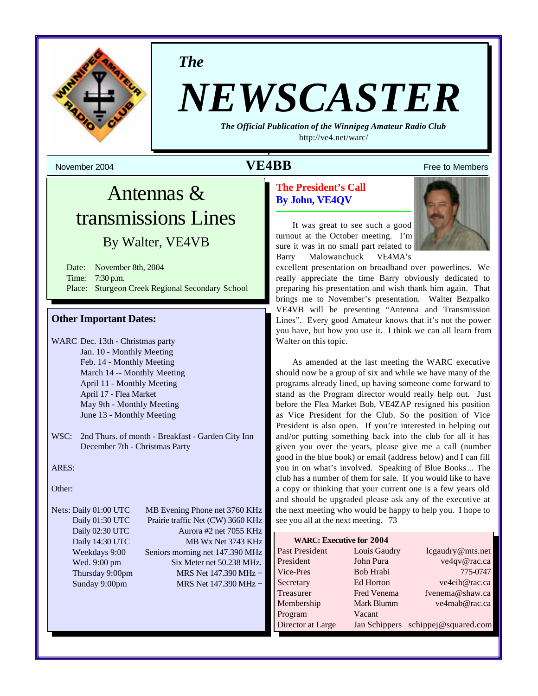

*The*

# *NEWSCASTER*

*The Official Publication of the Winnipeg Amateur Radio Club* <http://ve4.net/warc/>

# Antennas & transmissions Lines

# By Walter, VE4VB

Date: November 8th, 2004 Time: 7:30 p.m. Place: Sturgeon Creek Regional Secondary School

#### **Other Important Dates:**

- WARC Dec. 13th Christmas party Jan. 10 - Monthly Meeting Feb. 14 - Monthly Meeting March 14 -- Monthly Meeting April 11 - Monthly Meeting April 17 - Flea Market May 9th - Monthly Meeting June 13 - Monthly Meeting
- WSC: 2nd Thurs. of month Breakfast Garden City Inn December 7th - Christmas Party

ARES:

Other:

Nets: Daily 01:00 UTC MB Evening Phone net 3760 KHz Daily 01:30 UTC Prairie traffic Net (CW) 3660 KHz Daily 02:30 UTC Aurora #2 net 7055 KHz Daily 14:30 UTC MB Wx Net 3743 KHz Weekdays 9:00 Seniors morning net 147.390 MHz Wed. 9:00 pm Six Meter net 50.238 MHz. Thursday 9:00pm MRS Net  $147.390 \text{ MHz} +$ Sunday 9:00pm MRS Net 147.390 MHz +

# November 2004 **1999 12:30 November 2004 NE4BB** Free to Members

# **The President's Call By John, VE4QV**

It was great to see such a good turnout at the October meeting. I'm sure it was in no small part related to Barry Malowanchuck VE4MA's



excellent presentation on broadband over powerlines. We really appreciate the time Barry obviously dedicated to preparing his presentation and wish thank him again. That brings me to November's presentation. Walter Bezpalko VE4VB will be presenting "Antenna and Transmission Lines". Every good Amateur knows that it's not the power you have, but how you use it. I think we can all learn from Walter on this topic.

As amended at the last meeting the WARC executive should now be a group of six and while we have many of the programs already lined, up having someone come forward to stand as the Program director would really help out. Just before the Flea Market Bob, VE4ZAP resigned his position as Vice President for the Club. So the position of Vice President is also open. If you're interested in helping out and/or putting something back into the club for all it has given you over the years, please give me a call (number good in the blue book) or email (address below) and I can fill you in on what's involved. Speaking of Blue Books... The club has a number of them for sale. If you would like to have a copy or thinking that your current one is a few years old and should be upgraded please ask any of the executive at the next meeting who would be happy to help you. I hope to see you all at the next meeting. 73

| <b>WARC: Executive for 2004</b> |               |                      |  |  |  |
|---------------------------------|---------------|----------------------|--|--|--|
| Past President                  | Louis Gaudry  | lcgaudry@mts.net     |  |  |  |
| President                       | John Pura     | ve4qv@rac.ca         |  |  |  |
| Vice-Pres                       | Bob Hrabi     | 775-0747             |  |  |  |
| Secretary                       | Ed Horton     | ve4eih@rac.ca        |  |  |  |
| Treasurer                       | Fred Venema   | fvenema@shaw.ca      |  |  |  |
| Membership                      | Mark Blumm    | ve4mab@rac.ca        |  |  |  |
| Program                         | Vacant        |                      |  |  |  |
| Director at Large               | Jan Schippers | schippej@squared.com |  |  |  |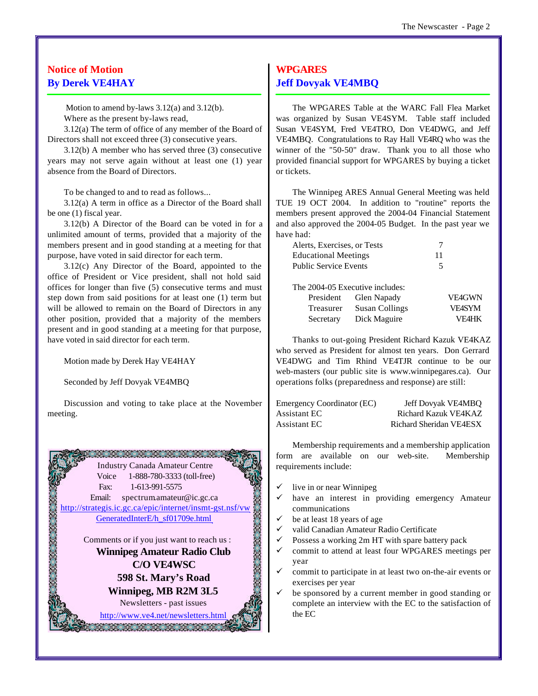# **Notice of Motion By Derek VE4HAY**

Motion to amend by-laws 3.12(a) and 3.12(b).

Where as the present by-laws read,

3.12(a) The term of office of any member of the Board of Directors shall not exceed three (3) consecutive years.

3.12(b) A member who has served three (3) consecutive years may not serve again without at least one (1) year absence from the Board of Directors.

To be changed to and to read as follows...

3.12(a) A term in office as a Director of the Board shall be one (1) fiscal year.

3.12(b) A Director of the Board can be voted in for a unlimited amount of terms, provided that a majority of the members present and in good standing at a meeting for that purpose, have voted in said director for each term.

3.12(c) Any Director of the Board, appointed to the office of President or Vice president, shall not hold said offices for longer than five (5) consecutive terms and must step down from said positions for at least one (1) term but will be allowed to remain on the Board of Directors in any other position, provided that a majority of the members present and in good standing at a meeting for that purpose, have voted in said director for each term.

Motion made by Derek Hay VE4HAY

Seconded by Jeff Dovyak VE4MBQ

Discussion and voting to take place at the November meeting.



# **WPGARES Jeff Dovyak VE4MBQ**

The WPGARES Table at the WARC Fall Flea Market was organized by Susan VE4SYM. Table staff included Susan VE4SYM, Fred VE4TRO, Don VE4DWG, and Jeff VE4MBQ. Congratulations to Ray Hall VE4RQ who was the winner of the "50-50" draw. Thank you to all those who provided financial support for WPGARES by buying a ticket or tickets.

The Winnipeg ARES Annual General Meeting was held TUE 19 OCT 2004. In addition to "routine" reports the members present approved the 2004-04 Financial Statement and also approved the 2004-05 Budget. In the past year we have had:

| Alerts, Exercises, or Tests |    |
|-----------------------------|----|
| <b>Educational Meetings</b> | 11 |
| Public Service Events       |    |

|           | The 2004-05 Executive includes: |               |
|-----------|---------------------------------|---------------|
| President | Glen Napady                     | <b>VE4GWN</b> |
| Treasurer | <b>Susan Collings</b>           | <b>VFASYM</b> |
| Secretary | Dick Maguire                    | <b>VF4HK</b>  |

Thanks to out-going President Richard Kazuk VE4KAZ who served as President for almost ten years. Don Gerrard VE4DWG and Tim Rhind VE4TJR continue to be our web-masters (our public site is www.winnipegares.ca). Our operations folks (preparedness and response) are still:

| Emergency Coordinator (EC) | Jeff Dovyak VE4MBQ      |
|----------------------------|-------------------------|
| Assistant EC .             | Richard Kazuk VE4KAZ    |
| Assistant EC .             | Richard Sheridan VE4ESX |

Membership requirements and a membership application form are available on our web-site. Membership requirements include:

- live in or near Winnipeg
- have an interest in providing emergency Amateur communications
- be at least 18 years of age
- valid Canadian Amateur Radio Certificate
- Possess a working 2m HT with spare battery pack
- commit to attend at least four WPGARES meetings per year
- commit to participate in at least two on-the-air events or exercises per year
- be sponsored by a current member in good standing or complete an interview with the EC to the satisfaction of the EC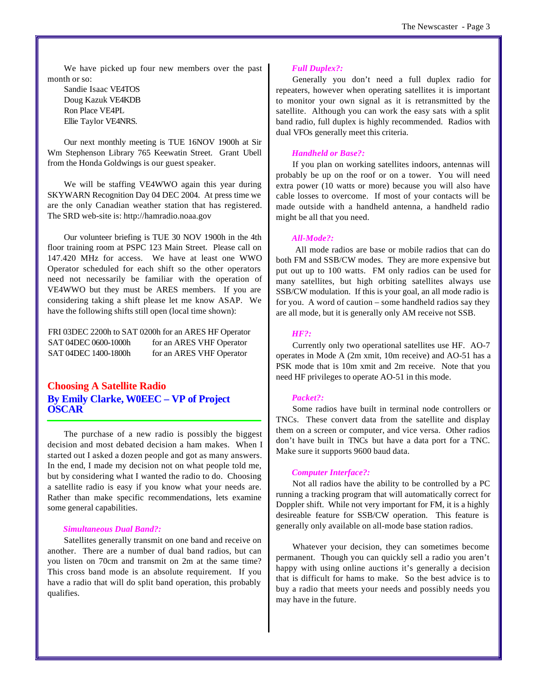We have picked up four new members over the past month or so:

Sandie Isaac VE4TOS Doug Kazuk VE4KDB Ron Place VE4PL Ellie Taylor VE4NRS.

Our next monthly meeting is TUE 16NOV 1900h at Sir Wm Stephenson Library 765 Keewatin Street. Grant Ubell from the Honda Goldwings is our guest speaker.

We will be staffing VE4WWO again this year during SKYWARN Recognition Day 04 DEC 2004. At press time we are the only Canadian weather station that has registered. The SRD web-site is: <http://hamradio.noaa.gov>

Our volunteer briefing is TUE 30 NOV 1900h in the 4th floor training room at PSPC 123 Main Street. Please call on 147.420 MHz for access. We have at least one WWO Operator scheduled for each shift so the other operators need not necessarily be familiar with the operation of VE4WWO but they must be ARES members. If you are considering taking a shift please let me know ASAP. We have the following shifts still open (local time shown):

FRI 03DEC 2200h to SAT 0200h for an ARES HF Operator SAT 04DEC 0600-1000h for an ARES VHF Operator SAT 04DEC 1400-1800h for an ARES VHF Operator

# **Choosing A Satellite Radio By Emily Clarke, W0EEC – VP of Project OSCAR**

The purchase of a new radio is possibly the biggest decision and most debated decision a ham makes. When I started out I asked a dozen people and got as many answers. In the end, I made my decision not on what people told me, but by considering what I wanted the radio to do. Choosing a satellite radio is easy if you know what your needs are. Rather than make specific recommendations, lets examine some general capabilities.

#### *Simultaneous Dual Band?:*

Satellites generally transmit on one band and receive on another. There are a number of dual band radios, but can you listen on 70cm and transmit on 2m at the same time? This cross band mode is an absolute requirement. If you have a radio that will do split band operation, this probably qualifies.

#### *Full Duplex?:*

Generally you don't need a full duplex radio for repeaters, however when operating satellites it is important to monitor your own signal as it is retransmitted by the satellite. Although you can work the easy sats with a split band radio, full duplex is highly recommended. Radios with dual VFOs generally meet this criteria.

#### *Handheld or Base?:*

If you plan on working satellites indoors, antennas will probably be up on the roof or on a tower. You will need extra power (10 watts or more) because you will also have cable losses to overcome. If most of your contacts will be made outside with a handheld antenna, a handheld radio might be all that you need.

#### *All-Mode?:*

 All mode radios are base or mobile radios that can do both FM and SSB/CW modes. They are more expensive but put out up to 100 watts. FM only radios can be used for many satellites, but high orbiting satellites always use SSB/CW modulation. If this is your goal, an all mode radio is for you. A word of caution – some handheld radios say they are all mode, but it is generally only AM receive not SSB.

#### *HF?:*

Currently only two operational satellites use HF. AO-7 operates in Mode A (2m xmit, 10m receive) and AO-51 has a PSK mode that is 10m xmit and 2m receive. Note that you need HF privileges to operate AO-51 in this mode.

#### *Packet?:*

Some radios have built in terminal node controllers or TNCs. These convert data from the satellite and display them on a screen or computer, and vice versa. Other radios don't have built in TNCs but have a data port for a TNC. Make sure it supports 9600 baud data.

#### *Computer Interface?:*

Not all radios have the ability to be controlled by a PC running a tracking program that will automatically correct for Doppler shift. While not very important for FM, it is a highly desireable feature for SSB/CW operation. This feature is generally only available on all-mode base station radios.

Whatever your decision, they can sometimes become permanent. Though you can quickly sell a radio you aren't happy with using online auctions it's generally a decision that is difficult for hams to make. So the best advice is to buy a radio that meets your needs and possibly needs you may have in the future.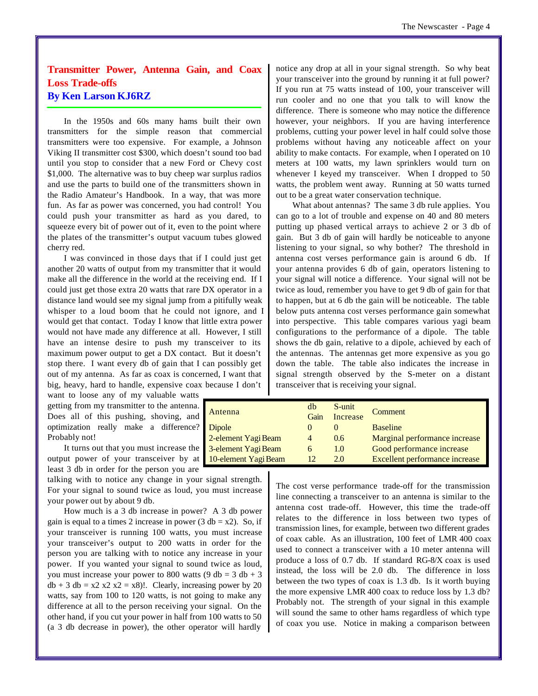# **Transmitter Power, Antenna Gain, and Coax Loss Trade-offs By Ken Larson KJ6RZ**

In the 1950s and 60s many hams built their own transmitters for the simple reason that commercial transmitters were too expensive. For example, a Johnson Viking II transmitter cost \$300, which doesn't sound too bad until you stop to consider that a new Ford or Chevy cost \$1,000. The alternative was to buy cheep war surplus radios and use the parts to build one of the transmitters shown in the Radio Amateur's Handbook. In a way, that was more fun. As far as power was concerned, you had control! You could push your transmitter as hard as you dared, to squeeze every bit of power out of it, even to the point where the plates of the transmitter's output vacuum tubes glowed cherry red.

I was convinced in those days that if I could just get another 20 watts of output from my transmitter that it would make all the difference in the world at the receiving end. If I could just get those extra 20 watts that rare DX operator in a distance land would see my signal jump from a pitifully weak whisper to a loud boom that he could not ignore, and I would get that contact. Today I know that little extra power would not have made any difference at all. However, I still have an intense desire to push my transceiver to its maximum power output to get a DX contact. But it doesn't stop there. I want every db of gain that I can possibly get out of my antenna. As far as coax is concerned, I want that big, heavy, hard to handle, expensive coax because I don't

want to loose any of my valuable watts getting from my transmitter to the antenna. Does all of this pushing, shoving, and optimization really make a difference? Probably not!

It turns out that you must increase the output power of your transceiver by at least 3 db in order for the person you are

talking with to notice any change in your signal strength. For your signal to sound twice as loud, you must increase your power out by about 9 db.

How much is a 3 db increase in power? A 3 db power gain is equal to a times 2 increase in power (3 db =  $x2$ ). So, if your transceiver is running 100 watts, you must increase your transceiver's output to 200 watts in order for the person you are talking with to notice any increase in your power. If you wanted your signal to sound twice as loud, you must increase your power to 800 watts  $(9 \text{ db} = 3 \text{ db} + 3)$  $db + 3 db = x2 x2 x2 = x8$ )!. Clearly, increasing power by 20 watts, say from 100 to 120 watts, is not going to make any difference at all to the person receiving your signal. On the other hand, if you cut your power in half from 100 watts to 50 (a 3 db decrease in power), the other operator will hardly

notice any drop at all in your signal strength. So why beat your transceiver into the ground by running it at full power? If you run at 75 watts instead of 100, your transceiver will run cooler and no one that you talk to will know the difference. There is someone who may notice the difference however, your neighbors. If you are having interference problems, cutting your power level in half could solve those problems without having any noticeable affect on your ability to make contacts. For example, when I operated on 10 meters at 100 watts, my lawn sprinklers would turn on whenever I keyed my transceiver. When I dropped to 50 watts, the problem went away. Running at 50 watts turned out to be a great water conservation technique.

What about antennas? The same 3 db rule applies. You can go to a lot of trouble and expense on 40 and 80 meters putting up phased vertical arrays to achieve 2 or 3 db of gain. But 3 db of gain will hardly be noticeable to anyone listening to your signal, so why bother? The threshold in antenna cost verses performance gain is around 6 db. If your antenna provides 6 db of gain, operators listening to your signal will notice a difference. Your signal will not be twice as loud, remember you have to get 9 db of gain for that to happen, but at 6 db the gain will be noticeable. The table below puts antenna cost verses performance gain somewhat into perspective. This table compares various yagi beam configurations to the performance of a dipole. The table shows the db gain, relative to a dipole, achieved by each of the antennas. The antennas get more expensive as you go down the table. The table also indicates the increase in signal strength observed by the S-meter on a distant transceiver that is receiving your signal.

| Antenna              | db       | S-unit   | Comment                        |
|----------------------|----------|----------|--------------------------------|
|                      | Gain     | Increase |                                |
| Dipole               |          |          | <b>Baseline</b>                |
| 2-element Yagi Beam  | $\Delta$ | 0.6      | Marginal performance increase  |
| 3-element Yagi Beam  | 6        | 1.0      | Good performance increase      |
| 10-element Yagi Beam | 12       | 2.0      | Excellent performance increase |

The cost verse performance trade-off for the transmission line connecting a transceiver to an antenna is similar to the antenna cost trade-off. However, this time the trade-off relates to the difference in loss between two types of transmission lines, for example, between two different grades of coax cable. As an illustration, 100 feet of LMR 400 coax used to connect a transceiver with a 10 meter antenna will produce a loss of 0.7 db. If standard RG-8/X coax is used instead, the loss will be 2.0 db. The difference in loss between the two types of coax is 1.3 db. Is it worth buying the more expensive LMR 400 coax to reduce loss by 1.3 db? Probably not. The strength of your signal in this example will sound the same to other hams regardless of which type of coax you use. Notice in making a comparison between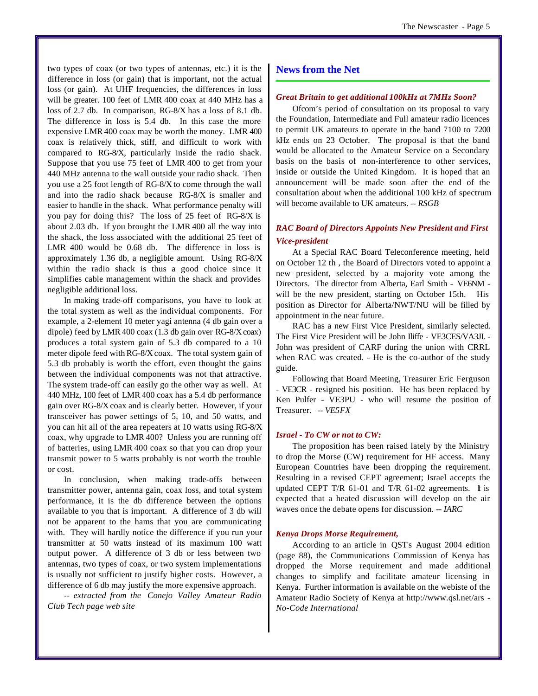two types of coax (or two types of antennas, etc.) it is the difference in loss (or gain) that is important, not the actual loss (or gain). At UHF frequencies, the differences in loss will be greater. 100 feet of LMR 400 coax at 440 MHz has a loss of 2.7 db. In comparison, RG-8/X has a loss of 8.1 db. The difference in loss is 5.4 db. In this case the more expensive LMR 400 coax may be worth the money. LMR 400 coax is relatively thick, stiff, and difficult to work with compared to RG-8/X, particularly inside the radio shack. Suppose that you use 75 feet of LMR 400 to get from your 440 MHz antenna to the wall outside your radio shack. Then you use a 25 foot length of RG-8/X to come through the wall and into the radio shack because RG-8/X is smaller and easier to handle in the shack. What performance penalty will you pay for doing this? The loss of 25 feet of RG-8/X is about 2.03 db. If you brought the LMR 400 all the way into the shack, the loss associated with the additional 25 feet of LMR 400 would be 0.68 db. The difference in loss is approximately 1.36 db, a negligible amount. Using RG-8/X within the radio shack is thus a good choice since it simplifies cable management within the shack and provides negligible additional loss.

In making trade-off comparisons, you have to look at the total system as well as the individual components. For example, a 2-element 10 meter yagi antenna (4 db gain over a dipole) feed by LMR 400 coax (1.3 db gain over RG-8/X coax) produces a total system gain of 5.3 db compared to a 10 meter dipole feed with RG-8/X coax. The total system gain of 5.3 db probably is worth the effort, even thought the gains between the individual components was not that attractive. The system trade-off can easily go the other way as well. At 440 MHz, 100 feet of LMR 400 coax has a 5.4 db performance gain over RG-8/X coax and is clearly better. However, if your transceiver has power settings of 5, 10, and 50 watts, and you can hit all of the area repeaters at 10 watts using RG-8/X coax, why upgrade to LMR 400? Unless you are running off of batteries, using LMR 400 coax so that you can drop your transmit power to 5 watts probably is not worth the trouble or cost.

In conclusion, when making trade-offs between transmitter power, antenna gain, coax loss, and total system performance, it is the db difference between the options available to you that is important. A difference of 3 db will not be apparent to the hams that you are communicating with. They will hardly notice the difference if you run your transmitter at 50 watts instead of its maximum 100 watt output power. A difference of 3 db or less between two antennas, two types of coax, or two system implementations is usually not sufficient to justify higher costs. However, a difference of 6 db may justify the more expensive approach.

*-- extracted from the Conejo Valley Amateur Radio Club Tech page web site*

#### **News from the Net**

#### *Great Britain to get additional 100kHz at 7MHz Soon?*

Ofcom's period of consultation on its proposal to vary the Foundation, Intermediate and Full amateur radio licences to permit UK amateurs to operate in the band 7100 to 7200 kHz ends on 23 October. The proposal is that the band would be allocated to the Amateur Service on a Secondary basis on the basis of non-interference to other services, inside or outside the United Kingdom. It is hoped that an announcement will be made soon after the end of the consultation about when the additional 100 kHz of spectrum will become available to UK amateurs. *-- RSGB*

#### *RAC Board of Directors Appoints New President and First Vice-president*

At a Special RAC Board Teleconference meeting, held on October 12 th , the Board of Directors voted to appoint a new president, selected by a majority vote among the Directors. The director from Alberta, Earl Smith - VE6NM will be the new president, starting on October 15th. His position as Director for Alberta/NWT/NU will be filled by appointment in the near future.

RAC has a new First Vice President, similarly selected. The First Vice President will be John Iliffe - VE3CES/VA3JI. - John was president of CARF during the union with CRRL when RAC was created. - He is the co-author of the study guide.

Following that Board Meeting, Treasurer Eric Ferguson - VE3CR - resigned his position. He has been replaced by Ken Pulfer - VE3PU - who will resume the position of Treasurer. *-- VE5FX*

#### *Israel - To CW or not to CW:*

The proposition has been raised lately by the Ministry to drop the Morse (CW) requirement for HF access. Many European Countries have been dropping the requirement. Resulting in a revised CEPT agreement; Israel accepts the updated CEPT T/R  $61-01$  and T/R  $61-02$  agreements. It is expected that a heated discussion will develop on the air waves once the debate opens for discussion. *-- IARC*

#### *Kenya Drops Morse Requirement,*

According to an article in QST's August 2004 edition (page 88), the Communications Commission of Kenya has dropped the Morse requirement and made additional changes to simplify and facilitate amateur licensing in Kenya. Further information is available on the webiste of the Amateur Radio Society of Kenya at <http://www.qsl.net/ars> *- No-Code International*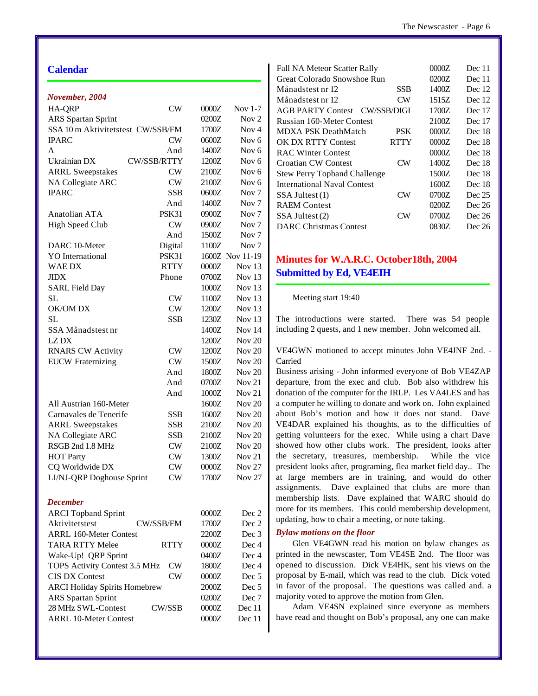### **Calendar**

| November, 2004                       |                    |       |                   |
|--------------------------------------|--------------------|-------|-------------------|
| <b>HA-QRP</b>                        | CW                 | 0000Z | Nov $1-7$         |
| <b>ARS</b> Spartan Sprint            |                    | 0200Z | Nov <sub>2</sub>  |
| SSA 10 m Aktivitetstest CW/SSB/FM    |                    | 1700Z | Nov $4$           |
| <b>IPARC</b>                         | CW                 | 0600Z | Nov <sub>6</sub>  |
| A                                    | And                | 1400Z | Nov 6             |
| Ukrainian DX                         | <b>CW/SSB/RTTY</b> | 1200Z | Nov 6             |
| <b>ARRL Sweepstakes</b>              | CW                 | 2100Z | Nov 6             |
| NA Collegiate ARC                    | CW                 | 2100Z | Nov 6             |
| <b>IPARC</b>                         | <b>SSB</b>         | 0600Z | Nov <sub>7</sub>  |
|                                      | And                | 1400Z | Nov <sub>7</sub>  |
| Anatolian ATA                        | PSK31              | 0900Z | Nov <sub>7</sub>  |
| <b>High Speed Club</b>               | <b>CW</b>          | 0900Z | Nov <sub>7</sub>  |
|                                      | And                | 1500Z | Nov <sub>7</sub>  |
| DARC 10-Meter                        | Digital            | 1100Z | Nov <sub>7</sub>  |
| <b>YO</b> International              | <b>PSK31</b>       |       | 1600Z Nov 11-19   |
| <b>WAE DX</b>                        | <b>RTTY</b>        | 0000Z | Nov $13$          |
| <b>JIDX</b>                          | Phone              | 0700Z | Nov <sub>13</sub> |
| <b>SARL Field Day</b>                |                    | 1000Z | Nov <sub>13</sub> |
| <b>SL</b>                            | CW                 | 1100Z | Nov <sub>13</sub> |
| OK/OM DX                             | CW                 | 1200Z | Nov <sub>13</sub> |
| <b>SL</b>                            | <b>SSB</b>         | 1230Z | Nov <sub>13</sub> |
| SSA Månadstest nr                    |                    | 1400Z | Nov 14            |
| LZ DX                                |                    | 1200Z | Nov $20$          |
| <b>RNARS CW Activity</b>             | CW                 | 1200Z | Nov $20$          |
| <b>EUCW</b> Fraternizing             | CW                 | 1500Z | Nov $20$          |
|                                      | And                | 1800Z | Nov $20$          |
|                                      | And                | 0700Z | Nov $21$          |
|                                      | And                | 1000Z | Nov $21$          |
| All Austrian 160-Meter               |                    | 1600Z | Nov $20$          |
| Carnavales de Tenerife               | <b>SSB</b>         | 1600Z | Nov $20$          |
|                                      | <b>SSB</b>         |       | Nov $20$          |
| <b>ARRL Sweepstakes</b>              |                    | 2100Z | Nov $20$          |
| NA Collegiate ARC                    | SSB                | 2100Z |                   |
| RSGB 2nd 1.8 MHz                     | CW                 | 2100Z | Nov $20$          |
| <b>HOT Party</b>                     | CW                 | 1300Z | Nov $21$          |
| CQ Worldwide DX                      | CW                 | 0000Z | <b>Nov 27</b>     |
| LI/NJ-QRP Doghouse Sprint            | CW                 | 1700Z | <b>Nov 27</b>     |
| <b>December</b>                      |                    |       |                   |
| <b>ARCI</b> Topband Sprint           |                    | 0000Z | Dec 2             |
| Aktivitetstest                       | CW/SSB/FM          | 1700Z | Dec 2             |
| ARRL 160-Meter Contest               |                    | 2200Z | Dec 3             |
| TARA RTTY Melee                      | <b>RTTY</b>        | 0000Z | Dec 4             |
| Wake-Up! QRP Sprint                  |                    | 0400Z | Dec 4             |
| TOPS Activity Contest 3.5 MHz        | CW                 | 1800Z | Dec 4             |
| <b>CIS DX Contest</b>                | CW                 | 0000Z | Dec <sub>5</sub>  |
| <b>ARCI Holiday Spirits Homebrew</b> |                    | 2000Z | Dec 5             |
| <b>ARS</b> Spartan Sprint            |                    | 0200Z | Dec 7             |
| 28 MHz SWL-Contest                   | CW/SSB             | 0000Z | Dec 11            |
| <b>ARRL 10-Meter Contest</b>         |                    | 0000Z | Dec 11            |

| <b>Fall NA Meteor Scatter Rally</b> |                | 0000Z | Dec $11$ |
|-------------------------------------|----------------|-------|----------|
| Great Colorado Snowshoe Run         |                | 0200Z | Dec 11   |
| Månadstest nr 12                    | SSB            | 1400Z | Dec 12   |
| Månadstest nr 12                    | CW             | 1515Z | Dec 12   |
| <b>AGB PARTY Contest</b>            | CW/SSB/DIGI    | 1700Z | Dec 17   |
| Russian 160-Meter Contest           |                | 2100Z | Dec 17   |
| <b>MDXA PSK DeathMatch</b>          | <b>PSK</b>     | 0000Z | Dec 18   |
| <b>OK DX RTTY Contest</b>           | RTTY           | 0000Z | Dec 18   |
| <b>RAC Winter Contest</b>           |                | 0000Z | Dec 18   |
| <b>Croatian CW Contest</b>          | CW <sub></sub> | 1400Z | Dec 18   |
| <b>Stew Perry Topband Challenge</b> |                | 1500Z | Dec 18   |
| <b>International Naval Contest</b>  |                | 1600Z | Dec 18   |
| SSA Jultest (1)                     | CW <sub></sub> | 0700Z | Dec 25   |
| <b>RAEM</b> Contest                 |                | 0200Z | Dec 26   |
| SSA Jultest (2)                     | CW             | 0700Z | Dec 26   |
| DARC Christmas Contest              |                | 0830Z | Dec 26   |
|                                     |                |       |          |

# **Minutes for W.A.R.C. October18th, 2004 Submitted by Ed, VE4EIH**

#### Meeting start 19:40

The introductions were started. There was 54 people including 2 quests, and 1 new member. John welcomed all.

VE4GWN motioned to accept minutes John VE4JNF 2nd. - Carried

Business arising - John informed everyone of Bob VE4ZAP departure, from the exec and club. Bob also withdrew his donation of the computer for the IRLP. Les VA4LES and has a computer he willing to donate and work on. John explained about Bob's motion and how it does not stand. Dave VE4DAR explained his thoughts, as to the difficulties of getting volunteers for the exec. While using a chart Dave showed how other clubs work. The president, looks after the secretary, treasures, membership. While the vice president looks after, programing, flea market field day.. The at large members are in training, and would do other assignments. Dave explained that clubs are more than membership lists. Dave explained that WARC should do more for its members. This could membership development, updating, how to chair a meeting, or note taking.

#### *Bylaw motions on the floor*

Glen VE4GWN read his motion on bylaw changes as printed in the newscaster, Tom VE4SE 2nd. The floor was opened to discussion. Dick VE4HK, sent his views on the proposal by E-mail, which was read to the club. Dick voted in favor of the proposal. The questions was called and. a majority voted to approve the motion from Glen.

Adam VE4SN explained since everyone as members have read and thought on Bob's proposal, any one can make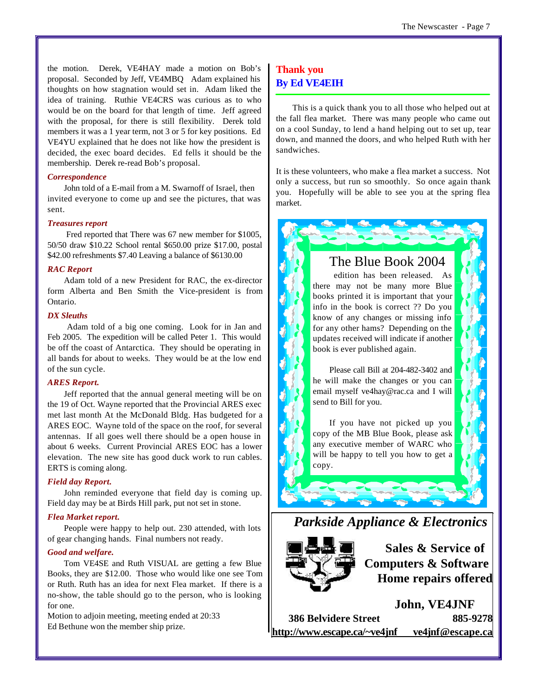the motion. Derek, VE4HAY made a motion on Bob's proposal. Seconded by Jeff, VE4MBQ Adam explained his thoughts on how stagnation would set in. Adam liked the idea of training. Ruthie VE4CRS was curious as to who would be on the board for that length of time. Jeff agreed with the proposal, for there is still flexibility. Derek told members it was a 1 year term, not 3 or 5 for key positions. Ed VE4YU explained that he does not like how the president is decided, the exec board decides. Ed fells it should be the membership. Derek re-read Bob's proposal.

#### *Correspondence*

John told of a E-mail from a M. Swarnoff of Israel, then invited everyone to come up and see the pictures, that was sent.

#### *Treasures report*

 Fred reported that There was 67 new member for \$1005, 50/50 draw \$10.22 School rental \$650.00 prize \$17.00, postal \$42.00 refreshments \$7.40 Leaving a balance of \$6130.00

#### *RAC Report*

Adam told of a new President for RAC, the ex-director form Alberta and Ben Smith the Vice-president is from Ontario.

#### *DX Sleuths*

 Adam told of a big one coming. Look for in Jan and Feb 2005. The expedition will be called Peter 1. This would be off the coast of Antarctica. They should be operating in all bands for about to weeks. They would be at the low end of the sun cycle.

#### *ARES Report.*

Jeff reported that the annual general meeting will be on the 19 of Oct. Wayne reported that the Provincial ARES exec met last month At the McDonald Bldg. Has budgeted for a ARES EOC. Wayne told of the space on the roof, for several antennas. If all goes well there should be a open house in about 6 weeks. Current Provincial ARES EOC has a lower elevation. The new site has good duck work to run cables. ERTS is coming along.

#### *Field day Report.*

John reminded everyone that field day is coming up. Field day may be at Birds Hill park, put not set in stone.

#### *Flea Market report.*

People were happy to help out. 230 attended, with lots of gear changing hands. Final numbers not ready.

#### *Good and welfare.*

Tom VE4SE and Ruth VISUAL are getting a few Blue Books, they are \$12.00. Those who would like one see Tom or Ruth. Ruth has an idea for next Flea market. If there is a no-show, the table should go to the person, who is looking for one.

Motion to adjoin meeting, meeting ended at 20:33 Ed Bethune won the member ship prize.

# **Thank you By Ed VE4EIH**

This is a quick thank you to all those who helped out at the fall flea market. There was many people who came out on a cool Sunday, to lend a hand helping out to set up, tear down, and manned the doors, and who helped Ruth with her sandwiches.

It is these volunteers, who make a flea market a success. Not only a success, but run so smoothly. So once again thank you. Hopefully will be able to see you at the spring flea market.

# The Blue Book 2004

 edition has been released. As there may not be many more Blue books printed it is important that your info in the book is correct ?? Do you know of any changes or missing info for any other hams? Depending on the updates received will indicate if another book is ever published again.

Please call Bill at 204-482-3402 and he will make the changes or you can email myself ve4hay@rac.ca and I will send to Bill for you.

If you have not picked up you copy of the MB Blue Book, please ask any executive member of WARC who will be happy to tell you how to get a copy.





**Sales & Service of Computers & Software Home repairs offered**

**John, VE4JNF 386 Belvidere Street 885-9278 <http://www.escape.ca/~ve4jnf> ve4jnf@escape.ca**